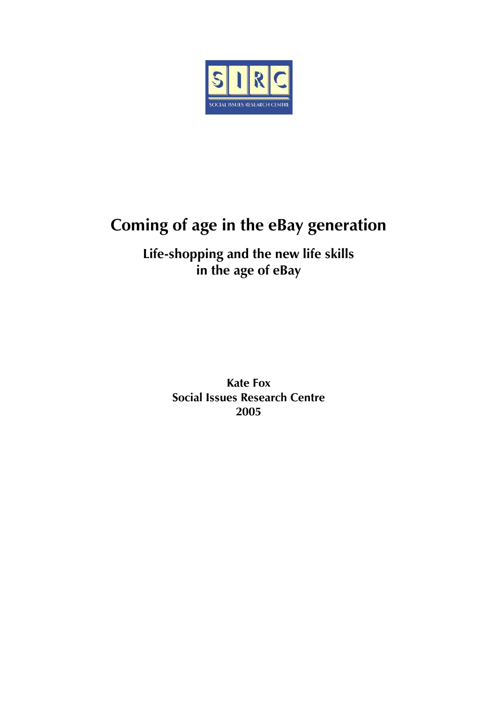<span id="page-0-0"></span>

# **Coming of age in the eBay generation**

**Life-shopping and the new life skills in the age of eBay** 

> **Kate Fox Social Issues Research Centre 2005**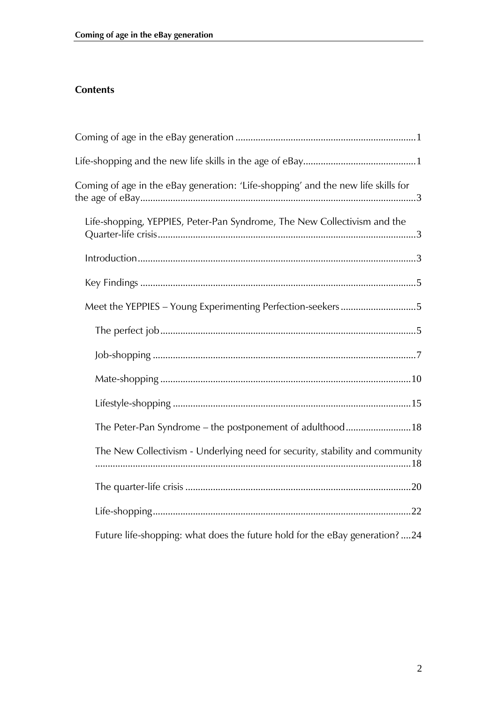## **Contents**

| Coming of age in the eBay generation: 'Life-shopping' and the new life skills for |
|-----------------------------------------------------------------------------------|
| Life-shopping, YEPPIES, Peter-Pan Syndrome, The New Collectivism and the          |
|                                                                                   |
|                                                                                   |
| Meet the YEPPIES - Young Experimenting Perfection-seekers5                        |
|                                                                                   |
|                                                                                   |
|                                                                                   |
|                                                                                   |
| The Peter-Pan Syndrome - the postponement of adulthood18                          |
| The New Collectivism - Underlying need for security, stability and community      |
|                                                                                   |
|                                                                                   |
| Future life-shopping: what does the future hold for the eBay generation? 24       |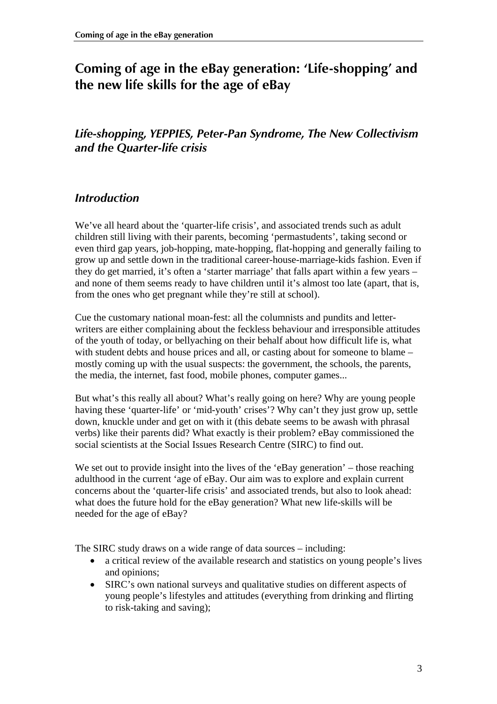## <span id="page-2-0"></span>**Coming of age in the eBay generation: 'Life-shopping' and the new life skills for the age of eBay**

## *Life-shopping, YEPPIES, Peter-Pan Syndrome, The New Collectivism and the Quarter-life crisis*

## *Introduction*

We've all heard about the 'quarter-life crisis', and associated trends such as adult children still living with their parents, becoming 'permastudents', taking second or even third gap years, job-hopping, mate-hopping, flat-hopping and generally failing to grow up and settle down in the traditional career-house-marriage-kids fashion. Even if they do get married, it's often a 'starter marriage' that falls apart within a few years – and none of them seems ready to have children until it's almost too late (apart, that is, from the ones who get pregnant while they're still at school).

Cue the customary national moan-fest: all the columnists and pundits and letterwriters are either complaining about the feckless behaviour and irresponsible attitudes of the youth of today, or bellyaching on their behalf about how difficult life is, what with student debts and house prices and all, or casting about for someone to blame – mostly coming up with the usual suspects: the government, the schools, the parents, the media, the internet, fast food, mobile phones, computer games...

But what's this really all about? What's really going on here? Why are young people having these 'quarter-life' or 'mid-youth' crises'? Why can't they just grow up, settle down, knuckle under and get on with it (this debate seems to be awash with phrasal verbs) like their parents did? What exactly is their problem? eBay commissioned the social scientists at the Social Issues Research Centre (SIRC) to find out.

We set out to provide insight into the lives of the 'eBay generation' – those reaching adulthood in the current 'age of eBay. Our aim was to explore and explain current concerns about the 'quarter-life crisis' and associated trends, but also to look ahead: what does the future hold for the eBay generation? What new life-skills will be needed for the age of eBay?

The SIRC study draws on a wide range of data sources – including:

- a critical review of the available research and statistics on young people's lives and opinions;
- SIRC's own national surveys and qualitative studies on different aspects of young people's lifestyles and attitudes (everything from drinking and flirting to risk-taking and saving);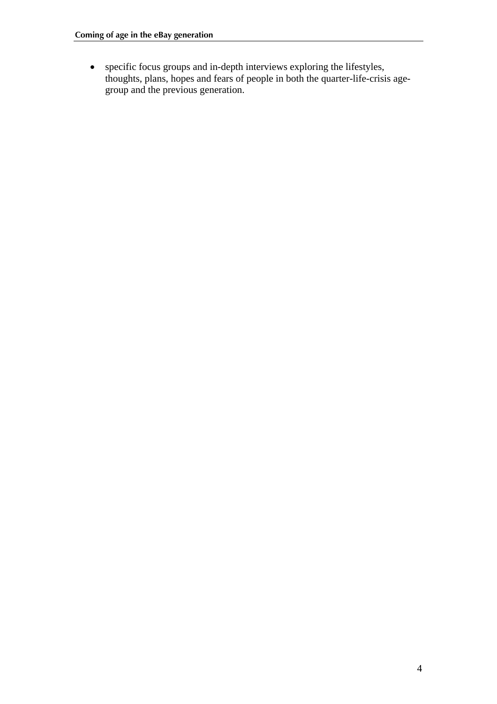• specific focus groups and in-depth interviews exploring the lifestyles, thoughts, plans, hopes and fears of people in both the quarter-life-crisis agegroup and the previous generation.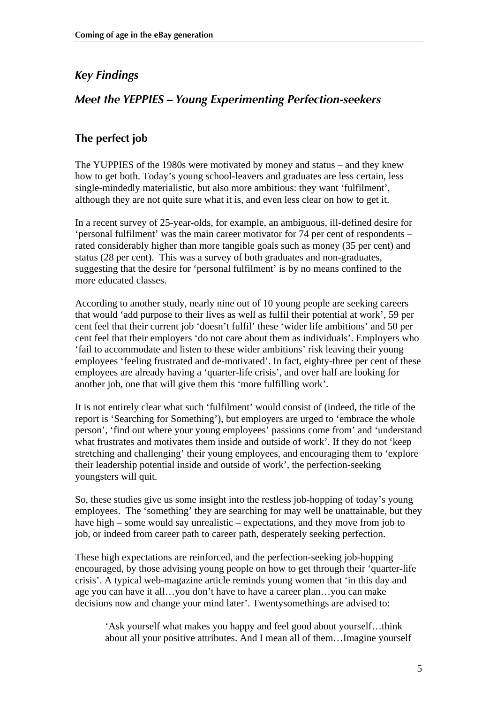## <span id="page-4-0"></span>*Key Findings*

## *Meet the YEPPIES – Young Experimenting Perfection-seekers*

#### **The perfect job**

The YUPPIES of the 1980s were motivated by money and status – and they knew how to get both. Today's young school-leavers and graduates are less certain, less single-mindedly materialistic, but also more ambitious: they want 'fulfilment', although they are not quite sure what it is, and even less clear on how to get it.

In a recent survey of 25-year-olds, for example, an ambiguous, ill-defined desire for 'personal fulfilment' was the main career motivator for 74 per cent of respondents – rated considerably higher than more tangible goals such as money (35 per cent) and status (28 per cent). This was a survey of both graduates and non-graduates, suggesting that the desire for 'personal fulfilment' is by no means confined to the more educated classes.

According to another study, nearly nine out of 10 young people are seeking careers that would 'add purpose to their lives as well as fulfil their potential at work', 59 per cent feel that their current job 'doesn't fulfil' these 'wider life ambitions' and 50 per cent feel that their employers 'do not care about them as individuals'. Employers who 'fail to accommodate and listen to these wider ambitions' risk leaving their young employees 'feeling frustrated and de-motivated'. In fact, eighty-three per cent of these employees are already having a 'quarter-life crisis', and over half are looking for another job, one that will give them this 'more fulfilling work'.

It is not entirely clear what such 'fulfilment' would consist of (indeed, the title of the report is 'Searching for Something'), but employers are urged to 'embrace the whole person', 'find out where your young employees' passions come from' and 'understand what frustrates and motivates them inside and outside of work'. If they do not 'keep stretching and challenging' their young employees, and encouraging them to 'explore their leadership potential inside and outside of work', the perfection-seeking youngsters will quit.

So, these studies give us some insight into the restless job-hopping of today's young employees. The 'something' they are searching for may well be unattainable, but they have high – some would say unrealistic – expectations, and they move from job to job, or indeed from career path to career path, desperately seeking perfection.

These high expectations are reinforced, and the perfection-seeking job-hopping encouraged, by those advising young people on how to get through their 'quarter-life crisis'. A typical web-magazine article reminds young women that 'in this day and age you can have it all…you don't have to have a career plan…you can make decisions now and change your mind later'. Twentysomethings are advised to:

'Ask yourself what makes you happy and feel good about yourself…think about all your positive attributes. And I mean all of them…Imagine yourself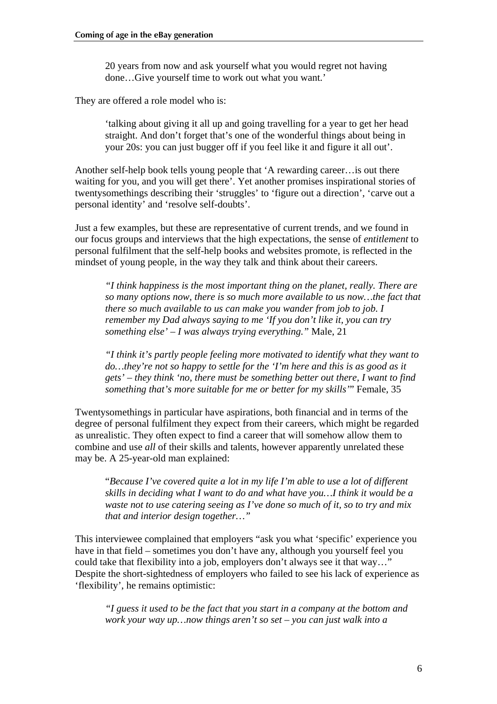20 years from now and ask yourself what you would regret not having done…Give yourself time to work out what you want.'

They are offered a role model who is:

'talking about giving it all up and going travelling for a year to get her head straight. And don't forget that's one of the wonderful things about being in your 20s: you can just bugger off if you feel like it and figure it all out'.

Another self-help book tells young people that 'A rewarding career…is out there waiting for you, and you will get there'. Yet another promises inspirational stories of twentysomethings describing their 'struggles' to 'figure out a direction', 'carve out a personal identity' and 'resolve self-doubts'.

Just a few examples, but these are representative of current trends, and we found in our focus groups and interviews that the high expectations, the sense of *entitlement* to personal fulfilment that the self-help books and websites promote, is reflected in the mindset of young people, in the way they talk and think about their careers.

*"I think happiness is the most important thing on the planet, really. There are so many options now, there is so much more available to us now…the fact that there so much available to us can make you wander from job to job. I remember my Dad always saying to me 'If you don't like it, you can try something else' – I was always trying everything."* Male, 21

*"I think it's partly people feeling more motivated to identify what they want to do…they're not so happy to settle for the 'I'm here and this is as good as it gets' – they think 'no, there must be something better out there, I want to find something that's more suitable for me or better for my skills'*" Female, 35

Twentysomethings in particular have aspirations, both financial and in terms of the degree of personal fulfilment they expect from their careers, which might be regarded as unrealistic. They often expect to find a career that will somehow allow them to combine and use *all* of their skills and talents, however apparently unrelated these may be. A 25-year-old man explained:

"*Because I've covered quite a lot in my life I'm able to use a lot of different skills in deciding what I want to do and what have you…I think it would be a waste not to use catering seeing as I've done so much of it, so to try and mix that and interior design together…"* 

This interviewee complained that employers "ask you what 'specific' experience you have in that field – sometimes you don't have any, although you yourself feel you could take that flexibility into a job, employers don't always see it that way…" Despite the short-sightedness of employers who failed to see his lack of experience as 'flexibility', he remains optimistic:

*"I guess it used to be the fact that you start in a company at the bottom and work your way up…now things aren't so set – you can just walk into a*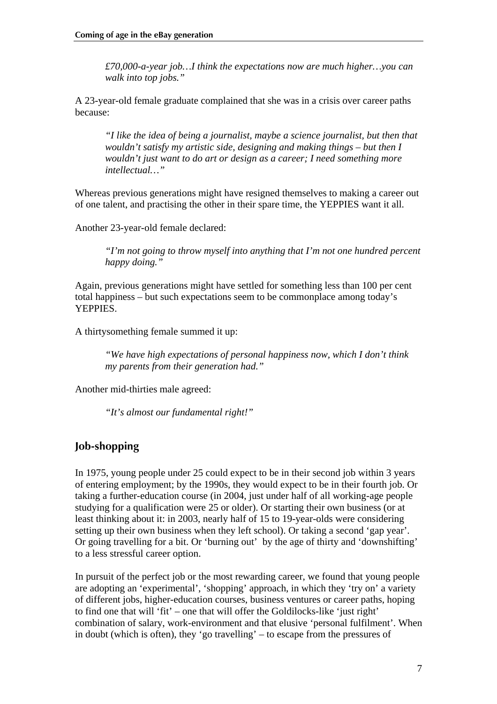<span id="page-6-0"></span>*£70,000-a-year job…I think the expectations now are much higher…you can walk into top jobs."* 

A 23-year-old female graduate complained that she was in a crisis over career paths because:

*"I like the idea of being a journalist, maybe a science journalist, but then that wouldn't satisfy my artistic side, designing and making things – but then I wouldn't just want to do art or design as a career; I need something more intellectual…"*

Whereas previous generations might have resigned themselves to making a career out of one talent, and practising the other in their spare time, the YEPPIES want it all.

Another 23-year-old female declared:

*"I'm not going to throw myself into anything that I'm not one hundred percent happy doing."* 

Again, previous generations might have settled for something less than 100 per cent total happiness – but such expectations seem to be commonplace among today's YEPPIES.

A thirtysomething female summed it up:

*"We have high expectations of personal happiness now, which I don't think my parents from their generation had."* 

Another mid-thirties male agreed:

*"It's almost our fundamental right!"*

#### **Job-shopping**

In 1975, young people under 25 could expect to be in their second job within 3 years of entering employment; by the 1990s, they would expect to be in their fourth job. Or taking a further-education course (in 2004, just under half of all working-age people studying for a qualification were 25 or older). Or starting their own business (or at least thinking about it: in 2003, nearly half of 15 to 19-year-olds were considering setting up their own business when they left school). Or taking a second 'gap year'. Or going travelling for a bit. Or 'burning out' by the age of thirty and 'downshifting' to a less stressful career option.

In pursuit of the perfect job or the most rewarding career, we found that young people are adopting an 'experimental', 'shopping' approach, in which they 'try on' a variety of different jobs, higher-education courses, business ventures or career paths, hoping to find one that will 'fit' – one that will offer the Goldilocks-like 'just right' combination of salary, work-environment and that elusive 'personal fulfilment'. When in doubt (which is often), they 'go travelling' – to escape from the pressures of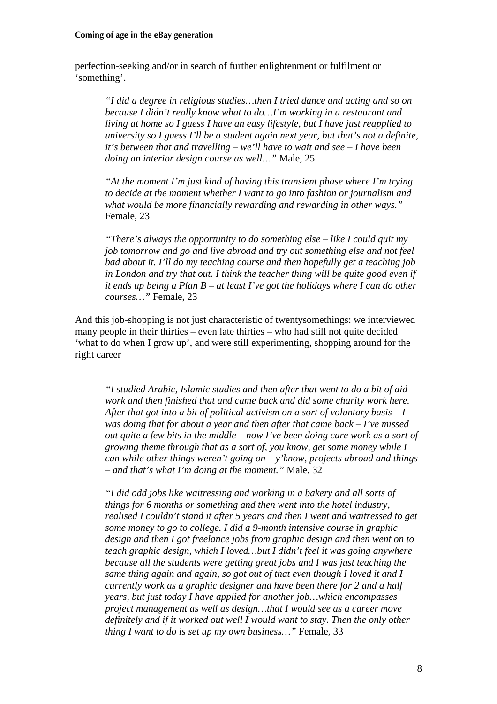perfection-seeking and/or in search of further enlightenment or fulfilment or 'something'.

*"I did a degree in religious studies…then I tried dance and acting and so on because I didn't really know what to do…I'm working in a restaurant and living at home so I guess I have an easy lifestyle, but I have just reapplied to university so I guess I'll be a student again next year, but that's not a definite, it's between that and travelling – we'll have to wait and see – I have been doing an interior design course as well…"* Male, 25

*"At the moment I'm just kind of having this transient phase where I'm trying to decide at the moment whether I want to go into fashion or journalism and what would be more financially rewarding and rewarding in other ways."*  Female, 23

*"There's always the opportunity to do something else – like I could quit my job tomorrow and go and live abroad and try out something else and not feel bad about it. I'll do my teaching course and then hopefully get a teaching job in London and try that out. I think the teacher thing will be quite good even if it ends up being a Plan B – at least I've got the holidays where I can do other courses…"* Female, 23

And this job-shopping is not just characteristic of twentysomethings: we interviewed many people in their thirties – even late thirties – who had still not quite decided 'what to do when I grow up', and were still experimenting, shopping around for the right career

*"I studied Arabic, Islamic studies and then after that went to do a bit of aid work and then finished that and came back and did some charity work here. After that got into a bit of political activism on a sort of voluntary basis – I was doing that for about a year and then after that came back – I've missed out quite a few bits in the middle – now I've been doing care work as a sort of growing theme through that as a sort of, you know, get some money while I can while other things weren't going on – y'know, projects abroad and things – and that's what I'm doing at the moment."* Male, 32

*"I did odd jobs like waitressing and working in a bakery and all sorts of things for 6 months or something and then went into the hotel industry, realised I couldn't stand it after 5 years and then I went and waitressed to get some money to go to college. I did a 9-month intensive course in graphic design and then I got freelance jobs from graphic design and then went on to teach graphic design, which I loved…but I didn't feel it was going anywhere because all the students were getting great jobs and I was just teaching the same thing again and again, so got out of that even though I loved it and I currently work as a graphic designer and have been there for 2 and a half years, but just today I have applied for another job…which encompasses project management as well as design…that I would see as a career move definitely and if it worked out well I would want to stay. Then the only other thing I want to do is set up my own business…"* Female, 33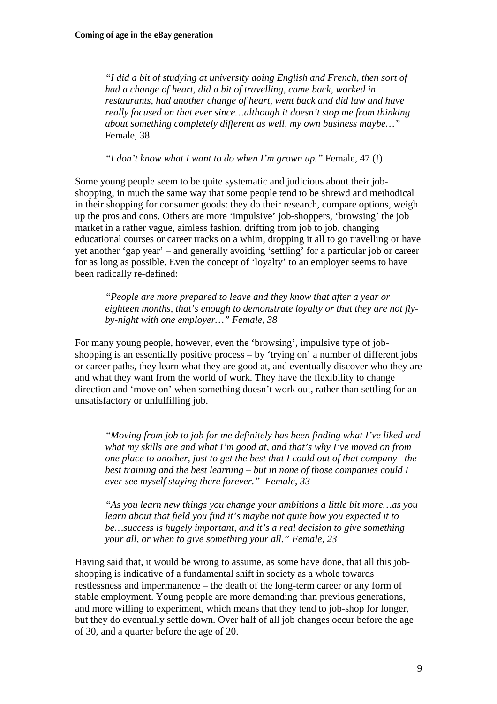*"I did a bit of studying at university doing English and French, then sort of had a change of heart, did a bit of travelling, came back, worked in restaurants, had another change of heart, went back and did law and have really focused on that ever since…although it doesn't stop me from thinking about something completely different as well, my own business maybe…"*  Female, 38

*"I don't know what I want to do when I'm grown up."* Female, 47 (!)

Some young people seem to be quite systematic and judicious about their jobshopping, in much the same way that some people tend to be shrewd and methodical in their shopping for consumer goods: they do their research, compare options, weigh up the pros and cons. Others are more 'impulsive' job-shoppers, 'browsing' the job market in a rather vague, aimless fashion, drifting from job to job, changing educational courses or career tracks on a whim, dropping it all to go travelling or have yet another 'gap year' – and generally avoiding 'settling' for a particular job or career for as long as possible. Even the concept of 'loyalty' to an employer seems to have been radically re-defined:

*"People are more prepared to leave and they know that after a year or eighteen months, that's enough to demonstrate loyalty or that they are not flyby-night with one employer…" Female, 38* 

For many young people, however, even the 'browsing', impulsive type of jobshopping is an essentially positive process – by 'trying on' a number of different jobs or career paths, they learn what they are good at, and eventually discover who they are and what they want from the world of work. They have the flexibility to change direction and 'move on' when something doesn't work out, rather than settling for an unsatisfactory or unfulfilling job.

*"Moving from job to job for me definitely has been finding what I've liked and what my skills are and what I'm good at, and that's why I've moved on from one place to another, just to get the best that I could out of that company –the best training and the best learning – but in none of those companies could I ever see myself staying there forever." Female, 33* 

*"As you learn new things you change your ambitions a little bit more…as you learn about that field you find it's maybe not quite how you expected it to be…success is hugely important, and it's a real decision to give something your all, or when to give something your all." Female, 23* 

Having said that, it would be wrong to assume, as some have done, that all this jobshopping is indicative of a fundamental shift in society as a whole towards restlessness and impermanence – the death of the long-term career or any form of stable employment. Young people are more demanding than previous generations, and more willing to experiment, which means that they tend to job-shop for longer, but they do eventually settle down. Over half of all job changes occur before the age of 30, and a quarter before the age of 20.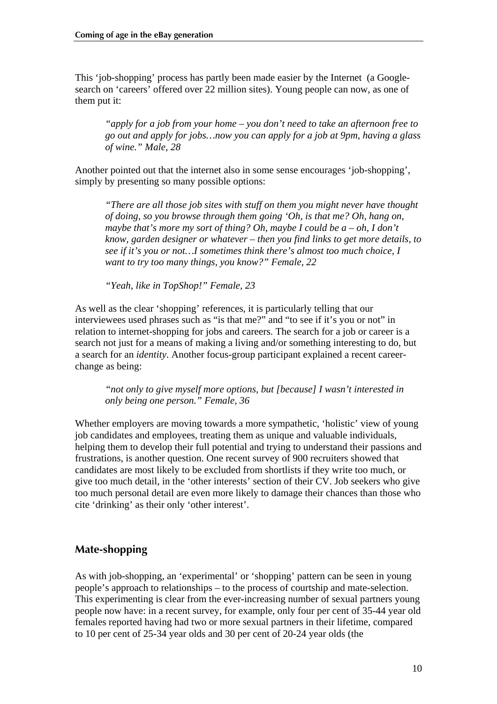<span id="page-9-0"></span>This 'job-shopping' process has partly been made easier by the Internet (a Googlesearch on 'careers' offered over 22 million sites). Young people can now, as one of them put it:

*"apply for a job from your home – you don't need to take an afternoon free to go out and apply for jobs…now you can apply for a job at 9pm, having a glass of wine." Male, 28* 

Another pointed out that the internet also in some sense encourages 'job-shopping', simply by presenting so many possible options:

*"There are all those job sites with stuff on them you might never have thought of doing, so you browse through them going 'Oh, is that me? Oh, hang on, maybe that's more my sort of thing? Oh, maybe I could be a – oh, I don't know, garden designer or whatever – then you find links to get more details, to see if it's you or not…I sometimes think there's almost too much choice, I want to try too many things, you know?" Female, 22* 

*"Yeah, like in TopShop!" Female, 23* 

As well as the clear 'shopping' references, it is particularly telling that our interviewees used phrases such as "is that me?" and "to see if it's you or not" in relation to internet-shopping for jobs and careers. The search for a job or career is a search not just for a means of making a living and/or something interesting to do, but a search for an *identity*. Another focus-group participant explained a recent careerchange as being:

*"not only to give myself more options, but [because] I wasn't interested in only being one person." Female, 36* 

Whether employers are moving towards a more sympathetic, 'holistic' view of young job candidates and employees, treating them as unique and valuable individuals, helping them to develop their full potential and trying to understand their passions and frustrations, is another question. One recent survey of 900 recruiters showed that candidates are most likely to be excluded from shortlists if they write too much, or give too much detail, in the 'other interests' section of their CV. Job seekers who give too much personal detail are even more likely to damage their chances than those who cite 'drinking' as their only 'other interest'.

#### **Mate-shopping**

As with job-shopping, an 'experimental' or 'shopping' pattern can be seen in young people's approach to relationships – to the process of courtship and mate-selection. This experimenting is clear from the ever-increasing number of sexual partners young people now have: in a recent survey, for example, only four per cent of 35-44 year old females reported having had two or more sexual partners in their lifetime, compared to 10 per cent of 25-34 year olds and 30 per cent of 20-24 year olds (the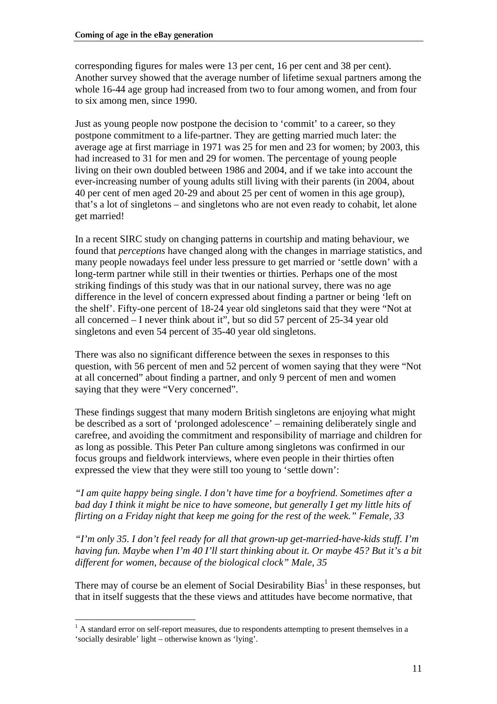corresponding figures for males were 13 per cent, 16 per cent and 38 per cent). Another survey showed that the average number of lifetime sexual partners among the whole 16-44 age group had increased from two to four among women, and from four to six among men, since 1990.

Just as young people now postpone the decision to 'commit' to a career, so they postpone commitment to a life-partner. They are getting married much later: the average age at first marriage in 1971 was 25 for men and 23 for women; by 2003, this had increased to 31 for men and 29 for women. The percentage of young people living on their own doubled between 1986 and 2004, and if we take into account the ever-increasing number of young adults still living with their parents (in 2004, about 40 per cent of men aged 20-29 and about 25 per cent of women in this age group), that's a lot of singletons – and singletons who are not even ready to cohabit, let alone get married!

In a recent SIRC study on changing patterns in courtship and mating behaviour, we found that *perceptions* have changed along with the changes in marriage statistics, and many people nowadays feel under less pressure to get married or 'settle down' with a long-term partner while still in their twenties or thirties. Perhaps one of the most striking findings of this study was that in our national survey, there was no age difference in the level of concern expressed about finding a partner or being 'left on the shelf'. Fifty-one percent of 18-24 year old singletons said that they were "Not at all concerned – I never think about it", but so did 57 percent of 25-34 year old singletons and even 54 percent of 35-40 year old singletons.

There was also no significant difference between the sexes in responses to this question, with 56 percent of men and 52 percent of women saying that they were "Not at all concerned" about finding a partner, and only 9 percent of men and women saying that they were "Very concerned".

These findings suggest that many modern British singletons are enjoying what might be described as a sort of 'prolonged adolescence' – remaining deliberately single and carefree, and avoiding the commitment and responsibility of marriage and children for as long as possible. This Peter Pan culture among singletons was confirmed in our focus groups and fieldwork interviews, where even people in their thirties often expressed the view that they were still too young to 'settle down':

*"I am quite happy being single. I don't have time for a boyfriend. Sometimes after a bad day I think it might be nice to have someone, but generally I get my little hits of flirting on a Friday night that keep me going for the rest of the week." Female, 33* 

*"I'm only 35. I don't feel ready for all that grown-up get-married-have-kids stuff. I'm having fun. Maybe when I'm 40 I'll start thinking about it. Or maybe 45? But it's a bit different for women, because of the biological clock" Male, 35* 

There may of course be an element of Social Desirability Bias<sup>[1](#page-10-0)</sup> in these responses, but that in itself suggests that the these views and attitudes have become normative, that

<span id="page-10-0"></span> $\overline{a}$  $<sup>1</sup>$  A standard error on self-report measures, due to respondents attempting to present themselves in a</sup> 'socially desirable' light – otherwise known as 'lying'.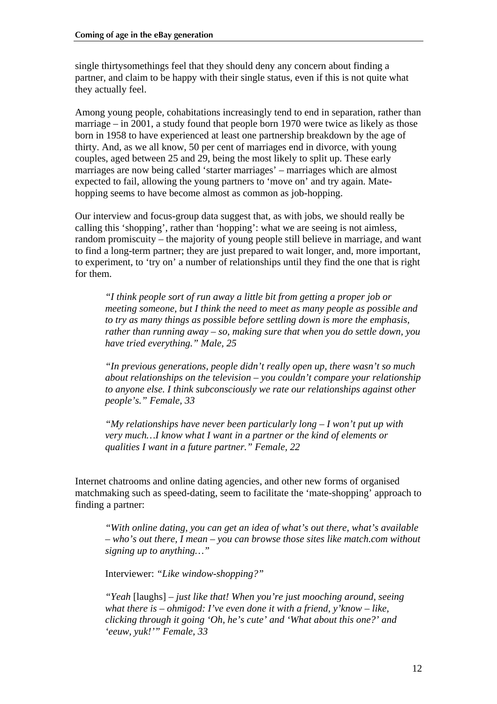single thirtysomethings feel that they should deny any concern about finding a partner, and claim to be happy with their single status, even if this is not quite what they actually feel.

Among young people, cohabitations increasingly tend to end in separation, rather than marriage – in 2001, a study found that people born 1970 were twice as likely as those born in 1958 to have experienced at least one partnership breakdown by the age of thirty. And, as we all know, 50 per cent of marriages end in divorce, with young couples, aged between 25 and 29, being the most likely to split up. These early marriages are now being called 'starter marriages' – marriages which are almost expected to fail, allowing the young partners to 'move on' and try again. Matehopping seems to have become almost as common as job-hopping.

Our interview and focus-group data suggest that, as with jobs, we should really be calling this 'shopping', rather than 'hopping': what we are seeing is not aimless, random promiscuity – the majority of young people still believe in marriage, and want to find a long-term partner; they are just prepared to wait longer, and, more important, to experiment, to 'try on' a number of relationships until they find the one that is right for them.

*"I think people sort of run away a little bit from getting a proper job or meeting someone, but I think the need to meet as many people as possible and to try as many things as possible before settling down is more the emphasis, rather than running away – so, making sure that when you do settle down, you have tried everything." Male, 25* 

*"In previous generations, people didn't really open up, there wasn't so much about relationships on the television – you couldn't compare your relationship to anyone else. I think subconsciously we rate our relationships against other people's." Female, 33* 

*"My relationships have never been particularly long – I won't put up with very much…I know what I want in a partner or the kind of elements or qualities I want in a future partner." Female, 22* 

Internet chatrooms and online dating agencies, and other new forms of organised matchmaking such as speed-dating, seem to facilitate the 'mate-shopping' approach to finding a partner:

*"With online dating, you can get an idea of what's out there, what's available – who's out there, I mean – you can browse those sites like match.com without signing up to anything…"* 

Interviewer: *"Like window-shopping?"*

*"Yeah* [laughs] *– just like that! When you're just mooching around, seeing what there is – ohmigod: I've even done it with a friend, y'know – like, clicking through it going 'Oh, he's cute' and 'What about this one?' and 'eeuw, yuk!'" Female, 33*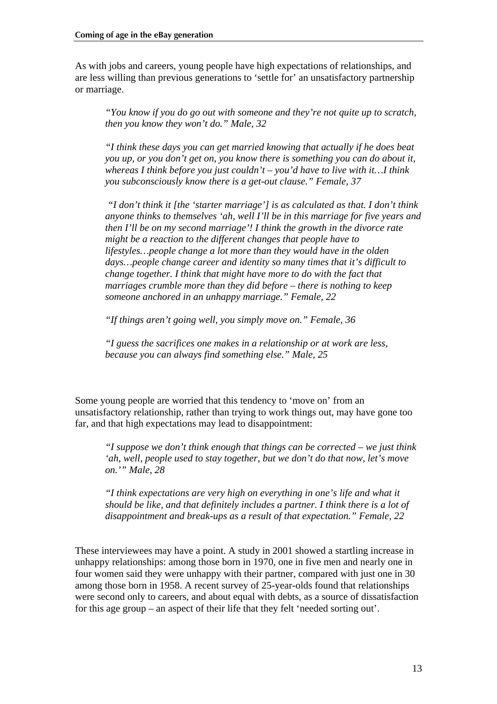As with jobs and careers, young people have high expectations of relationships, and are less willing than previous generations to 'settle for' an unsatisfactory partnership or marriage.

*"You know if you do go out with someone and they're not quite up to scratch, then you know they won't do." Male, 32* 

*"I think these days you can get married knowing that actually if he does beat you up, or you don't get on, you know there is something you can do about it, whereas I think before you just couldn't – you'd have to live with it…I think you subconsciously know there is a get-out clause." Female, 37* 

 *"I don't think it [the 'starter marriage'] is as calculated as that. I don't think anyone thinks to themselves 'ah, well I'll be in this marriage for five years and then I'll be on my second marriage'! I think the growth in the divorce rate might be a reaction to the different changes that people have to lifestyles…people change a lot more than they would have in the olden days…people change career and identity so many times that it's difficult to change together. I think that might have more to do with the fact that marriages crumble more than they did before – there is nothing to keep someone anchored in an unhappy marriage." Female, 22* 

*"If things aren't going well, you simply move on." Female, 36* 

*"I guess the sacrifices one makes in a relationship or at work are less, because you can always find something else." Male, 25* 

Some young people are worried that this tendency to 'move on' from an unsatisfactory relationship, rather than trying to work things out, may have gone too far, and that high expectations may lead to disappointment:

*"I suppose we don't think enough that things can be corrected – we just think 'ah, well, people used to stay together, but we don't do that now, let's move on.'" Male, 28* 

*"I think expectations are very high on everything in one's life and what it should be like, and that definitely includes a partner. I think there is a lot of disappointment and break-ups as a result of that expectation." Female, 22* 

These interviewees may have a point. A study in 2001 showed a startling increase in unhappy relationships: among those born in 1970, one in five men and nearly one in four women said they were unhappy with their partner, compared with just one in 30 among those born in 1958. A recent survey of 25-year-olds found that relationships were second only to careers, and about equal with debts, as a source of dissatisfaction for this age group – an aspect of their life that they felt 'needed sorting out'.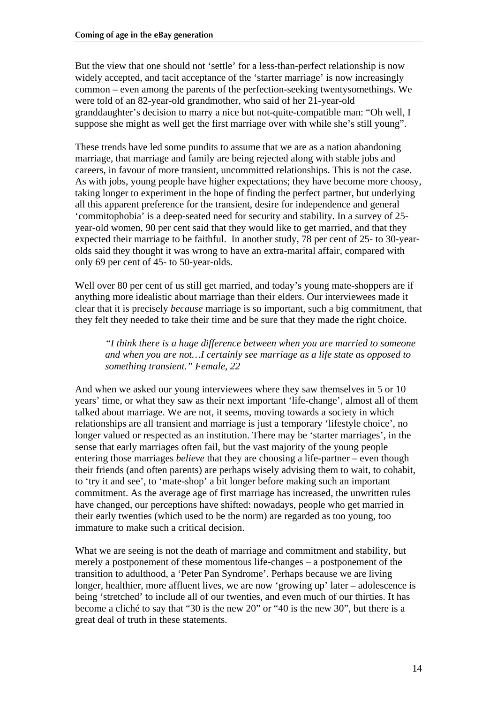But the view that one should not 'settle' for a less-than-perfect relationship is now widely accepted, and tacit acceptance of the 'starter marriage' is now increasingly common – even among the parents of the perfection-seeking twentysomethings. We were told of an 82-year-old grandmother, who said of her 21-year-old granddaughter's decision to marry a nice but not-quite-compatible man: "Oh well, I suppose she might as well get the first marriage over with while she's still young".

These trends have led some pundits to assume that we are as a nation abandoning marriage, that marriage and family are being rejected along with stable jobs and careers, in favour of more transient, uncommitted relationships. This is not the case. As with jobs, young people have higher expectations; they have become more choosy, taking longer to experiment in the hope of finding the perfect partner, but underlying all this apparent preference for the transient, desire for independence and general 'commitophobia' is a deep-seated need for security and stability. In a survey of 25 year-old women, 90 per cent said that they would like to get married, and that they expected their marriage to be faithful. In another study, 78 per cent of 25- to 30-yearolds said they thought it was wrong to have an extra-marital affair, compared with only 69 per cent of 45- to 50-year-olds.

Well over 80 per cent of us still get married, and today's young mate-shoppers are if anything more idealistic about marriage than their elders. Our interviewees made it clear that it is precisely *because* marriage is so important, such a big commitment, that they felt they needed to take their time and be sure that they made the right choice.

*"I think there is a huge difference between when you are married to someone and when you are not…I certainly see marriage as a life state as opposed to something transient." Female, 22* 

And when we asked our young interviewees where they saw themselves in 5 or 10 years' time, or what they saw as their next important 'life-change', almost all of them talked about marriage. We are not, it seems, moving towards a society in which relationships are all transient and marriage is just a temporary 'lifestyle choice', no longer valued or respected as an institution. There may be 'starter marriages', in the sense that early marriages often fail, but the vast majority of the young people entering those marriages *believe* that they are choosing a life-partner – even though their friends (and often parents) are perhaps wisely advising them to wait, to cohabit, to 'try it and see', to 'mate-shop' a bit longer before making such an important commitment. As the average age of first marriage has increased, the unwritten rules have changed, our perceptions have shifted: nowadays, people who get married in their early twenties (which used to be the norm) are regarded as too young, too immature to make such a critical decision.

What we are seeing is not the death of marriage and commitment and stability, but merely a postponement of these momentous life-changes – a postponement of the transition to adulthood, a 'Peter Pan Syndrome'. Perhaps because we are living longer, healthier, more affluent lives, we are now 'growing up' later – adolescence is being 'stretched' to include all of our twenties, and even much of our thirties. It has become a cliché to say that "30 is the new 20" or "40 is the new 30", but there is a great deal of truth in these statements.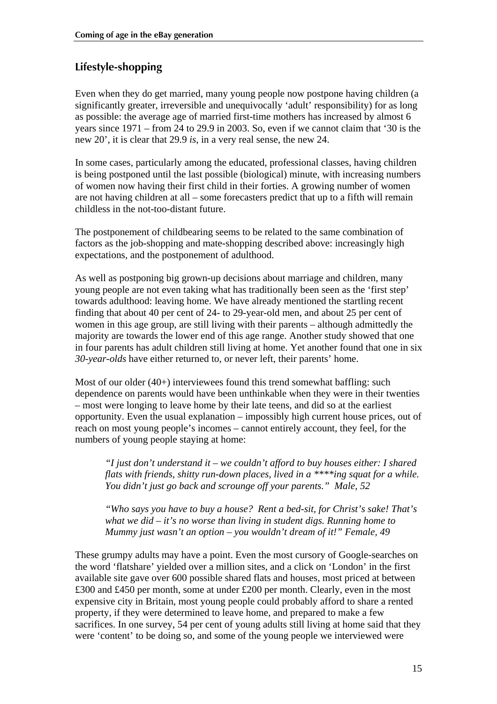## <span id="page-14-0"></span>**Lifestyle-shopping**

Even when they do get married, many young people now postpone having children (a significantly greater, irreversible and unequivocally 'adult' responsibility) for as long as possible: the average age of married first-time mothers has increased by almost 6 years since 1971 – from 24 to 29.9 in 2003. So, even if we cannot claim that '30 is the new 20', it is clear that 29.9 *is*, in a very real sense, the new 24.

In some cases, particularly among the educated, professional classes, having children is being postponed until the last possible (biological) minute, with increasing numbers of women now having their first child in their forties. A growing number of women are not having children at all – some forecasters predict that up to a fifth will remain childless in the not-too-distant future.

The postponement of childbearing seems to be related to the same combination of factors as the job-shopping and mate-shopping described above: increasingly high expectations, and the postponement of adulthood.

As well as postponing big grown-up decisions about marriage and children, many young people are not even taking what has traditionally been seen as the 'first step' towards adulthood: leaving home. We have already mentioned the startling recent finding that about 40 per cent of 24- to 29-year-old men, and about 25 per cent of women in this age group, are still living with their parents – although admittedly the majority are towards the lower end of this age range. Another study showed that one in four parents has adult children still living at home. Yet another found that one in six *30-year-olds* have either returned to, or never left, their parents' home.

Most of our older (40+) interviewees found this trend somewhat baffling: such dependence on parents would have been unthinkable when they were in their twenties – most were longing to leave home by their late teens, and did so at the earliest opportunity. Even the usual explanation – impossibly high current house prices, out of reach on most young people's incomes – cannot entirely account, they feel, for the numbers of young people staying at home:

*"I just don't understand it – we couldn't afford to buy houses either: I shared flats with friends, shitty run-down places, lived in a \*\*\*\*ing squat for a while. You didn't just go back and scrounge off your parents." Male, 52* 

*"Who says you have to buy a house? Rent a bed-sit, for Christ's sake! That's what we did – it's no worse than living in student digs. Running home to Mummy just wasn't an option – you wouldn't dream of it!" Female, 49* 

These grumpy adults may have a point. Even the most cursory of Google-searches on the word 'flatshare' yielded over a million sites, and a click on 'London' in the first available site gave over 600 possible shared flats and houses, most priced at between £300 and £450 per month, some at under £200 per month. Clearly, even in the most expensive city in Britain, most young people could probably afford to share a rented property, if they were determined to leave home, and prepared to make a few sacrifices. In one survey, 54 per cent of young adults still living at home said that they were 'content' to be doing so, and some of the young people we interviewed were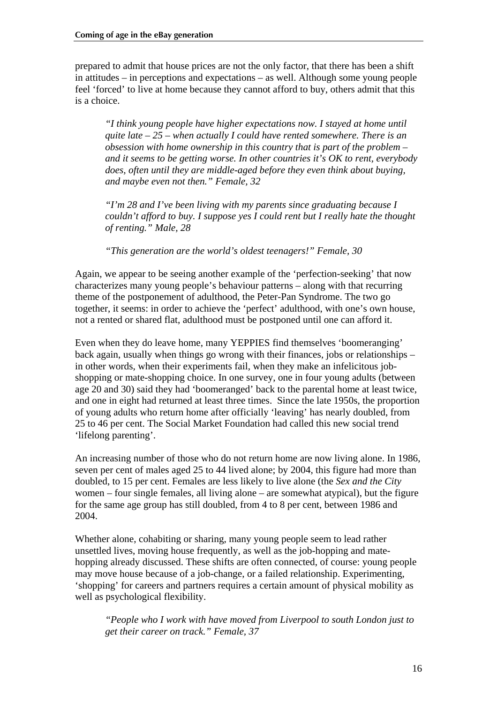prepared to admit that house prices are not the only factor, that there has been a shift in attitudes – in perceptions and expectations – as well. Although some young people feel 'forced' to live at home because they cannot afford to buy, others admit that this is a choice.

*"I think young people have higher expectations now. I stayed at home until quite late – 25 – when actually I could have rented somewhere. There is an obsession with home ownership in this country that is part of the problem – and it seems to be getting worse. In other countries it's OK to rent, everybody does, often until they are middle-aged before they even think about buying, and maybe even not then." Female, 32* 

*"I'm 28 and I've been living with my parents since graduating because I couldn't afford to buy. I suppose yes I could rent but I really hate the thought of renting." Male, 28* 

*"This generation are the world's oldest teenagers!" Female, 30* 

Again, we appear to be seeing another example of the 'perfection-seeking' that now characterizes many young people's behaviour patterns – along with that recurring theme of the postponement of adulthood, the Peter-Pan Syndrome. The two go together, it seems: in order to achieve the 'perfect' adulthood, with one's own house, not a rented or shared flat, adulthood must be postponed until one can afford it.

Even when they do leave home, many YEPPIES find themselves 'boomeranging' back again, usually when things go wrong with their finances, jobs or relationships – in other words, when their experiments fail, when they make an infelicitous jobshopping or mate-shopping choice. In one survey, one in four young adults (between age 20 and 30) said they had 'boomeranged' back to the parental home at least twice, and one in eight had returned at least three times. Since the late 1950s, the proportion of young adults who return home after officially 'leaving' has nearly doubled, from 25 to 46 per cent. The Social Market Foundation had called this new social trend 'lifelong parenting'.

An increasing number of those who do not return home are now living alone. In 1986, seven per cent of males aged 25 to 44 lived alone; by 2004, this figure had more than doubled, to 15 per cent. Females are less likely to live alone (the *Sex and the City* women – four single females, all living alone – are somewhat atypical), but the figure for the same age group has still doubled, from 4 to 8 per cent, between 1986 and 2004.

Whether alone, cohabiting or sharing, many young people seem to lead rather unsettled lives, moving house frequently, as well as the job-hopping and matehopping already discussed. These shifts are often connected, of course: young people may move house because of a job-change, or a failed relationship. Experimenting, 'shopping' for careers and partners requires a certain amount of physical mobility as well as psychological flexibility.

*"People who I work with have moved from Liverpool to south London just to get their career on track." Female, 37*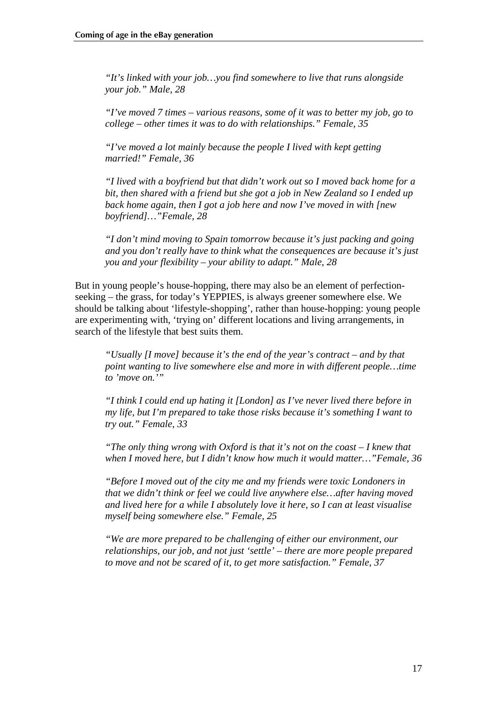*"It's linked with your job…you find somewhere to live that runs alongside your job." Male, 28* 

*"I've moved 7 times – various reasons, some of it was to better my job, go to college – other times it was to do with relationships." Female, 35* 

*"I've moved a lot mainly because the people I lived with kept getting married!" Female, 36* 

*"I lived with a boyfriend but that didn't work out so I moved back home for a bit, then shared with a friend but she got a job in New Zealand so I ended up back home again, then I got a job here and now I've moved in with [new boyfriend]…"Female, 28* 

*"I don't mind moving to Spain tomorrow because it's just packing and going and you don't really have to think what the consequences are because it's just you and your flexibility – your ability to adapt." Male, 28* 

But in young people's house-hopping, there may also be an element of perfectionseeking – the grass, for today's YEPPIES, is always greener somewhere else. We should be talking about 'lifestyle-shopping', rather than house-hopping: young people are experimenting with, 'trying on' different locations and living arrangements, in search of the lifestyle that best suits them.

*"Usually [I move] because it's the end of the year's contract – and by that point wanting to live somewhere else and more in with different people…time to 'move on.'"* 

*"I think I could end up hating it [London] as I've never lived there before in my life, but I'm prepared to take those risks because it's something I want to try out." Female, 33* 

*"The only thing wrong with Oxford is that it's not on the coast – I knew that when I moved here, but I didn't know how much it would matter…"Female, 36* 

*"Before I moved out of the city me and my friends were toxic Londoners in that we didn't think or feel we could live anywhere else…after having moved and lived here for a while I absolutely love it here, so I can at least visualise myself being somewhere else." Female, 25* 

*"We are more prepared to be challenging of either our environment, our relationships, our job, and not just 'settle' – there are more people prepared to move and not be scared of it, to get more satisfaction." Female, 37*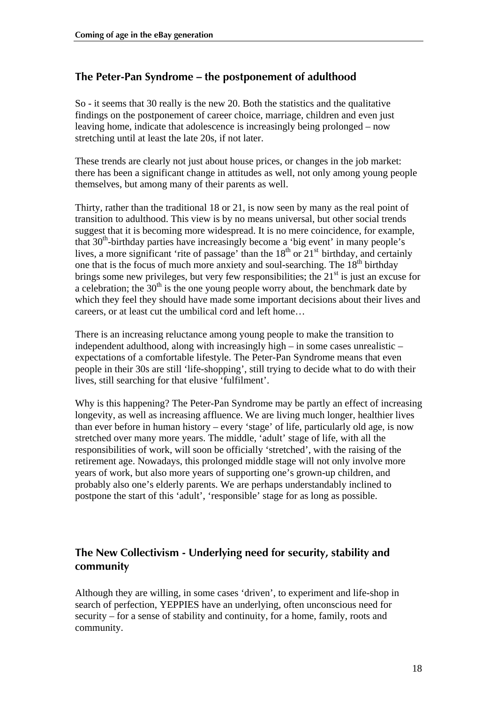#### <span id="page-17-0"></span>**The Peter-Pan Syndrome – the postponement of adulthood**

So - it seems that 30 really is the new 20. Both the statistics and the qualitative findings on the postponement of career choice, marriage, children and even just leaving home, indicate that adolescence is increasingly being prolonged – now stretching until at least the late 20s, if not later.

These trends are clearly not just about house prices, or changes in the job market: there has been a significant change in attitudes as well, not only among young people themselves, but among many of their parents as well.

Thirty, rather than the traditional 18 or 21, is now seen by many as the real point of transition to adulthood. This view is by no means universal, but other social trends suggest that it is becoming more widespread. It is no mere coincidence, for example, that 30<sup>th</sup>-birthday parties have increasingly become a 'big event' in many people's lives, a more significant 'rite of passage' than the  $18<sup>th</sup>$  or  $21<sup>st</sup>$  birthday, and certainly one that is the focus of much more anxiety and soul-searching. The  $18<sup>th</sup>$  birthday brings some new privileges, but very few responsibilities; the  $21<sup>st</sup>$  is just an excuse for a celebration; the  $30<sup>th</sup>$  is the one young people worry about, the benchmark date by which they feel they should have made some important decisions about their lives and careers, or at least cut the umbilical cord and left home…

There is an increasing reluctance among young people to make the transition to independent adulthood, along with increasingly high – in some cases unrealistic – expectations of a comfortable lifestyle. The Peter-Pan Syndrome means that even people in their 30s are still 'life-shopping', still trying to decide what to do with their lives, still searching for that elusive 'fulfilment'.

Why is this happening? The Peter-Pan Syndrome may be partly an effect of increasing longevity, as well as increasing affluence. We are living much longer, healthier lives than ever before in human history – every 'stage' of life, particularly old age, is now stretched over many more years. The middle, 'adult' stage of life, with all the responsibilities of work, will soon be officially 'stretched', with the raising of the retirement age. Nowadays, this prolonged middle stage will not only involve more years of work, but also more years of supporting one's grown-up children, and probably also one's elderly parents. We are perhaps understandably inclined to postpone the start of this 'adult', 'responsible' stage for as long as possible.

#### **The New Collectivism - Underlying need for security, stability and community**

Although they are willing, in some cases 'driven', to experiment and life-shop in search of perfection, YEPPIES have an underlying, often unconscious need for security – for a sense of stability and continuity, for a home, family, roots and community.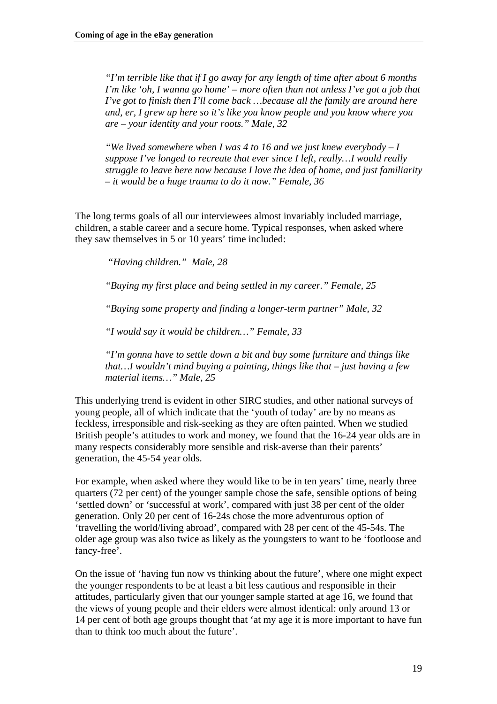*"I'm terrible like that if I go away for any length of time after about 6 months I'm like 'oh, I wanna go home' – more often than not unless I've got a job that I've got to finish then I'll come back ... because all the family are around here and, er, I grew up here so it's like you know people and you know where you are – your identity and your roots." Male, 32* 

*"We lived somewhere when I was 4 to 16 and we just knew everybody – I suppose I've longed to recreate that ever since I left, really…I would really struggle to leave here now because I love the idea of home, and just familiarity – it would be a huge trauma to do it now." Female, 36* 

The long terms goals of all our interviewees almost invariably included marriage, children, a stable career and a secure home. Typical responses, when asked where they saw themselves in 5 or 10 years' time included:

 *"Having children." Male, 28* 

*"Buying my first place and being settled in my career." Female, 25* 

*"Buying some property and finding a longer-term partner" Male, 32* 

*"I would say it would be children…" Female, 33* 

*"I'm gonna have to settle down a bit and buy some furniture and things like that…I wouldn't mind buying a painting, things like that – just having a few material items…" Male, 25* 

This underlying trend is evident in other SIRC studies, and other national surveys of young people, all of which indicate that the 'youth of today' are by no means as feckless, irresponsible and risk-seeking as they are often painted. When we studied British people's attitudes to work and money, we found that the 16-24 year olds are in many respects considerably more sensible and risk-averse than their parents' generation, the 45-54 year olds.

For example, when asked where they would like to be in ten years' time, nearly three quarters (72 per cent) of the younger sample chose the safe, sensible options of being 'settled down' or 'successful at work', compared with just 38 per cent of the older generation. Only 20 per cent of 16-24s chose the more adventurous option of 'travelling the world/living abroad', compared with 28 per cent of the 45-54s. The older age group was also twice as likely as the youngsters to want to be 'footloose and fancy-free'.

On the issue of 'having fun now vs thinking about the future', where one might expect the younger respondents to be at least a bit less cautious and responsible in their attitudes, particularly given that our younger sample started at age 16, we found that the views of young people and their elders were almost identical: only around 13 or 14 per cent of both age groups thought that 'at my age it is more important to have fun than to think too much about the future'.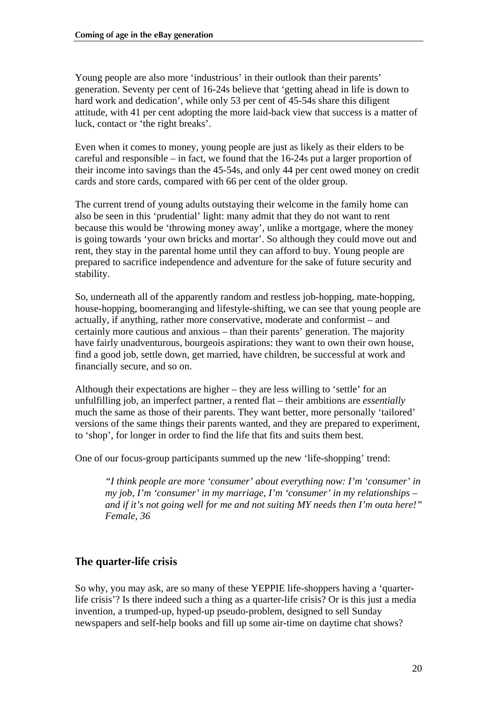<span id="page-19-0"></span>Young people are also more 'industrious' in their outlook than their parents' generation. Seventy per cent of 16-24s believe that 'getting ahead in life is down to hard work and dedication', while only 53 per cent of 45-54s share this diligent attitude, with 41 per cent adopting the more laid-back view that success is a matter of luck, contact or 'the right breaks'.

Even when it comes to money, young people are just as likely as their elders to be careful and responsible – in fact, we found that the 16-24s put a larger proportion of their income into savings than the 45-54s, and only 44 per cent owed money on credit cards and store cards, compared with 66 per cent of the older group.

The current trend of young adults outstaying their welcome in the family home can also be seen in this 'prudential' light: many admit that they do not want to rent because this would be 'throwing money away', unlike a mortgage, where the money is going towards 'your own bricks and mortar'. So although they could move out and rent, they stay in the parental home until they can afford to buy. Young people are prepared to sacrifice independence and adventure for the sake of future security and stability.

So, underneath all of the apparently random and restless job-hopping, mate-hopping, house-hopping, boomeranging and lifestyle-shifting, we can see that young people are actually, if anything, rather more conservative, moderate and conformist – and certainly more cautious and anxious – than their parents' generation. The majority have fairly unadventurous, bourgeois aspirations: they want to own their own house, find a good job, settle down, get married, have children, be successful at work and financially secure, and so on.

Although their expectations are higher – they are less willing to 'settle' for an unfulfilling job, an imperfect partner, a rented flat – their ambitions are *essentially* much the same as those of their parents. They want better, more personally 'tailored' versions of the same things their parents wanted, and they are prepared to experiment, to 'shop', for longer in order to find the life that fits and suits them best.

One of our focus-group participants summed up the new 'life-shopping' trend:

*"I think people are more 'consumer' about everything now: I'm 'consumer' in my job, I'm 'consumer' in my marriage, I'm 'consumer' in my relationships – and if it's not going well for me and not suiting MY needs then I'm outa here!" Female, 36* 

#### **The quarter-life crisis**

So why, you may ask, are so many of these YEPPIE life-shoppers having a 'quarterlife crisis'? Is there indeed such a thing as a quarter-life crisis? Or is this just a media invention, a trumped-up, hyped-up pseudo-problem, designed to sell Sunday newspapers and self-help books and fill up some air-time on daytime chat shows?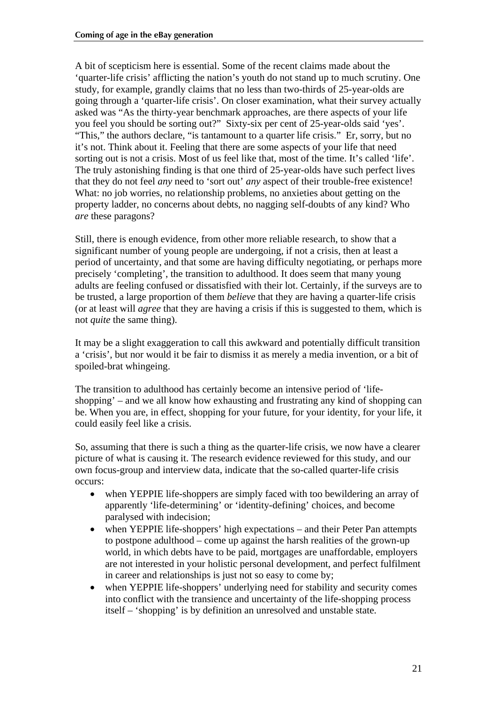A bit of scepticism here is essential. Some of the recent claims made about the 'quarter-life crisis' afflicting the nation's youth do not stand up to much scrutiny. One study, for example, grandly claims that no less than two-thirds of 25-year-olds are going through a 'quarter-life crisis'. On closer examination, what their survey actually asked was "As the thirty-year benchmark approaches, are there aspects of your life you feel you should be sorting out?" Sixty-six per cent of 25-year-olds said 'yes'. "This," the authors declare, "is tantamount to a quarter life crisis." Er, sorry, but no it's not. Think about it. Feeling that there are some aspects of your life that need sorting out is not a crisis. Most of us feel like that, most of the time. It's called 'life'. The truly astonishing finding is that one third of 25-year-olds have such perfect lives that they do not feel *any* need to 'sort out' *any* aspect of their trouble-free existence! What: no job worries, no relationship problems, no anxieties about getting on the property ladder, no concerns about debts, no nagging self-doubts of any kind? Who *are* these paragons?

Still, there is enough evidence, from other more reliable research, to show that a significant number of young people are undergoing, if not a crisis, then at least a period of uncertainty, and that some are having difficulty negotiating, or perhaps more precisely 'completing', the transition to adulthood. It does seem that many young adults are feeling confused or dissatisfied with their lot. Certainly, if the surveys are to be trusted, a large proportion of them *believe* that they are having a quarter-life crisis (or at least will *agree* that they are having a crisis if this is suggested to them, which is not *quite* the same thing).

It may be a slight exaggeration to call this awkward and potentially difficult transition a 'crisis', but nor would it be fair to dismiss it as merely a media invention, or a bit of spoiled-brat whingeing.

The transition to adulthood has certainly become an intensive period of 'lifeshopping' – and we all know how exhausting and frustrating any kind of shopping can be. When you are, in effect, shopping for your future, for your identity, for your life, it could easily feel like a crisis.

So, assuming that there is such a thing as the quarter-life crisis, we now have a clearer picture of what is causing it. The research evidence reviewed for this study, and our own focus-group and interview data, indicate that the so-called quarter-life crisis occurs:

- when YEPPIE life-shoppers are simply faced with too bewildering an array of apparently 'life-determining' or 'identity-defining' choices, and become paralysed with indecision;
- when YEPPIE life-shoppers' high expectations and their Peter Pan attempts to postpone adulthood – come up against the harsh realities of the grown-up world, in which debts have to be paid, mortgages are unaffordable, employers are not interested in your holistic personal development, and perfect fulfilment in career and relationships is just not so easy to come by;
- when YEPPIE life-shoppers' underlying need for stability and security comes into conflict with the transience and uncertainty of the life-shopping process itself – 'shopping' is by definition an unresolved and unstable state.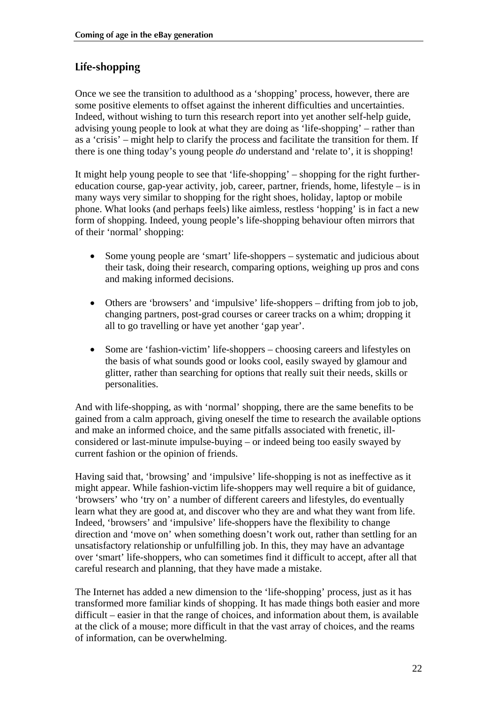### <span id="page-21-0"></span>**Life-shopping**

Once we see the transition to adulthood as a 'shopping' process, however, there are some positive elements to offset against the inherent difficulties and uncertainties. Indeed, without wishing to turn this research report into yet another self-help guide, advising young people to look at what they are doing as 'life-shopping' – rather than as a 'crisis' – might help to clarify the process and facilitate the transition for them. If there is one thing today's young people *do* understand and 'relate to', it is shopping!

It might help young people to see that 'life-shopping' – shopping for the right furthereducation course, gap-year activity, job, career, partner, friends, home, lifestyle – is in many ways very similar to shopping for the right shoes, holiday, laptop or mobile phone. What looks (and perhaps feels) like aimless, restless 'hopping' is in fact a new form of shopping. Indeed, young people's life-shopping behaviour often mirrors that of their 'normal' shopping:

- Some young people are 'smart' life-shoppers systematic and judicious about their task, doing their research, comparing options, weighing up pros and cons and making informed decisions.
- Others are 'browsers' and 'impulsive' life-shoppers drifting from job to job, changing partners, post-grad courses or career tracks on a whim; dropping it all to go travelling or have yet another 'gap year'.
- Some are 'fashion-victim' life-shoppers choosing careers and lifestyles on the basis of what sounds good or looks cool, easily swayed by glamour and glitter, rather than searching for options that really suit their needs, skills or personalities.

And with life-shopping, as with 'normal' shopping, there are the same benefits to be gained from a calm approach, giving oneself the time to research the available options and make an informed choice, and the same pitfalls associated with frenetic, illconsidered or last-minute impulse-buying – or indeed being too easily swayed by current fashion or the opinion of friends.

Having said that, 'browsing' and 'impulsive' life-shopping is not as ineffective as it might appear. While fashion-victim life-shoppers may well require a bit of guidance, 'browsers' who 'try on' a number of different careers and lifestyles, do eventually learn what they are good at, and discover who they are and what they want from life. Indeed, 'browsers' and 'impulsive' life-shoppers have the flexibility to change direction and 'move on' when something doesn't work out, rather than settling for an unsatisfactory relationship or unfulfilling job. In this, they may have an advantage over 'smart' life-shoppers, who can sometimes find it difficult to accept, after all that careful research and planning, that they have made a mistake.

The Internet has added a new dimension to the 'life-shopping' process, just as it has transformed more familiar kinds of shopping. It has made things both easier and more difficult – easier in that the range of choices, and information about them, is available at the click of a mouse; more difficult in that the vast array of choices, and the reams of information, can be overwhelming.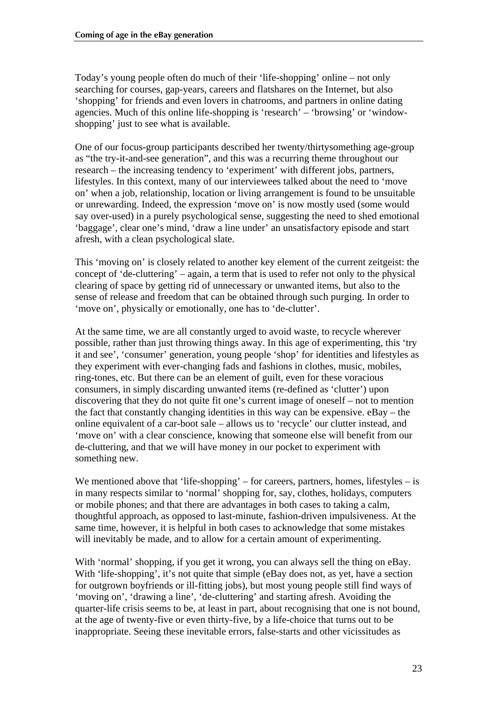Today's young people often do much of their 'life-shopping' online – not only searching for courses, gap-years, careers and flatshares on the Internet, but also 'shopping' for friends and even lovers in chatrooms, and partners in online dating agencies. Much of this online life-shopping is 'research' – 'browsing' or 'windowshopping' just to see what is available.

One of our focus-group participants described her twenty/thirtysomething age-group as "the try-it-and-see generation", and this was a recurring theme throughout our research – the increasing tendency to 'experiment' with different jobs, partners, lifestyles. In this context, many of our interviewees talked about the need to 'move on' when a job, relationship, location or living arrangement is found to be unsuitable or unrewarding. Indeed, the expression 'move on' is now mostly used (some would say over-used) in a purely psychological sense, suggesting the need to shed emotional 'baggage', clear one's mind, 'draw a line under' an unsatisfactory episode and start afresh, with a clean psychological slate.

This 'moving on' is closely related to another key element of the current zeitgeist: the concept of 'de-cluttering' – again, a term that is used to refer not only to the physical clearing of space by getting rid of unnecessary or unwanted items, but also to the sense of release and freedom that can be obtained through such purging. In order to 'move on', physically or emotionally, one has to 'de-clutter'.

At the same time, we are all constantly urged to avoid waste, to recycle wherever possible, rather than just throwing things away. In this age of experimenting, this 'try it and see', 'consumer' generation, young people 'shop' for identities and lifestyles as they experiment with ever-changing fads and fashions in clothes, music, mobiles, ring-tones, etc. But there can be an element of guilt, even for these voracious consumers, in simply discarding unwanted items (re-defined as 'clutter') upon discovering that they do not quite fit one's current image of oneself – not to mention the fact that constantly changing identities in this way can be expensive. eBay – the online equivalent of a car-boot sale – allows us to 'recycle' our clutter instead, and 'move on' with a clear conscience, knowing that someone else will benefit from our de-cluttering, and that we will have money in our pocket to experiment with something new.

We mentioned above that 'life-shopping' – for careers, partners, homes, lifestyles – is in many respects similar to 'normal' shopping for, say, clothes, holidays, computers or mobile phones; and that there are advantages in both cases to taking a calm, thoughtful approach, as opposed to last-minute, fashion-driven impulsiveness. At the same time, however, it is helpful in both cases to acknowledge that some mistakes will inevitably be made, and to allow for a certain amount of experimenting.

With 'normal' shopping, if you get it wrong, you can always sell the thing on eBay. With 'life-shopping', it's not quite that simple (eBay does not, as yet, have a section for outgrown boyfriends or ill-fitting jobs), but most young people still find ways of 'moving on', 'drawing a line', 'de-cluttering' and starting afresh. Avoiding the quarter-life crisis seems to be, at least in part, about recognising that one is not bound, at the age of twenty-five or even thirty-five, by a life-choice that turns out to be inappropriate. Seeing these inevitable errors, false-starts and other vicissitudes as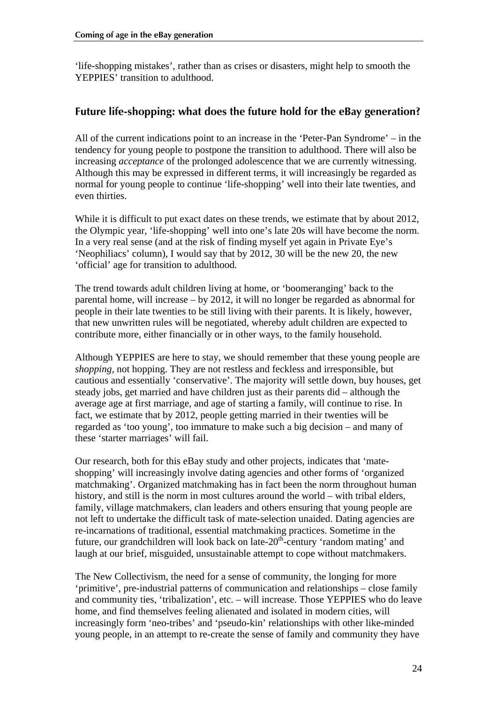<span id="page-23-0"></span>'life-shopping mistakes', rather than as crises or disasters, might help to smooth the YEPPIES' transition to adulthood.

#### **Future life-shopping: what does the future hold for the eBay generation?**

All of the current indications point to an increase in the 'Peter-Pan Syndrome' – in the tendency for young people to postpone the transition to adulthood. There will also be increasing *acceptance* of the prolonged adolescence that we are currently witnessing. Although this may be expressed in different terms, it will increasingly be regarded as normal for young people to continue 'life-shopping' well into their late twenties, and even thirties.

While it is difficult to put exact dates on these trends, we estimate that by about 2012, the Olympic year, 'life-shopping' well into one's late 20s will have become the norm. In a very real sense (and at the risk of finding myself yet again in Private Eye's 'Neophiliacs' column), I would say that by 2012, 30 will be the new 20, the new 'official' age for transition to adulthood.

The trend towards adult children living at home, or 'boomeranging' back to the parental home, will increase – by 2012, it will no longer be regarded as abnormal for people in their late twenties to be still living with their parents. It is likely, however, that new unwritten rules will be negotiated, whereby adult children are expected to contribute more, either financially or in other ways, to the family household.

Although YEPPIES are here to stay, we should remember that these young people are *shopping,* not hopping. They are not restless and feckless and irresponsible, but cautious and essentially 'conservative'. The majority will settle down, buy houses, get steady jobs, get married and have children just as their parents did – although the average age at first marriage, and age of starting a family, will continue to rise. In fact, we estimate that by 2012, people getting married in their twenties will be regarded as 'too young', too immature to make such a big decision – and many of these 'starter marriages' will fail.

Our research, both for this eBay study and other projects, indicates that 'mateshopping' will increasingly involve dating agencies and other forms of 'organized matchmaking'. Organized matchmaking has in fact been the norm throughout human history, and still is the norm in most cultures around the world – with tribal elders, family, village matchmakers, clan leaders and others ensuring that young people are not left to undertake the difficult task of mate-selection unaided. Dating agencies are re-incarnations of traditional, essential matchmaking practices. Sometime in the future, our grandchildren will look back on late- $20<sup>th</sup>$ -century 'random mating' and laugh at our brief, misguided, unsustainable attempt to cope without matchmakers.

The New Collectivism, the need for a sense of community, the longing for more 'primitive', pre-industrial patterns of communication and relationships – close family and community ties, 'tribalization', etc. – will increase. Those YEPPIES who do leave home, and find themselves feeling alienated and isolated in modern cities, will increasingly form 'neo-tribes' and 'pseudo-kin' relationships with other like-minded young people, in an attempt to re-create the sense of family and community they have